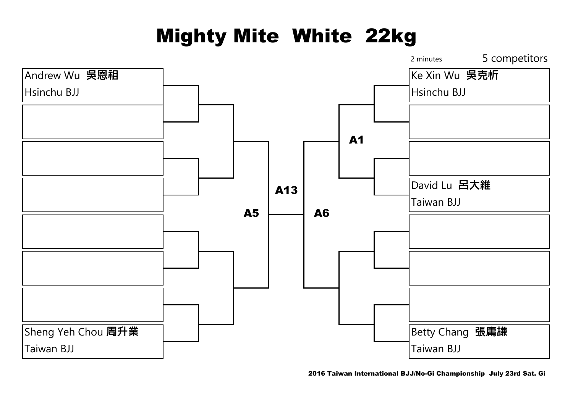## Mighty Mite White 22kg



2016 Taiwan International BJJ/No-Gi Championship July 23rd Sat. Gi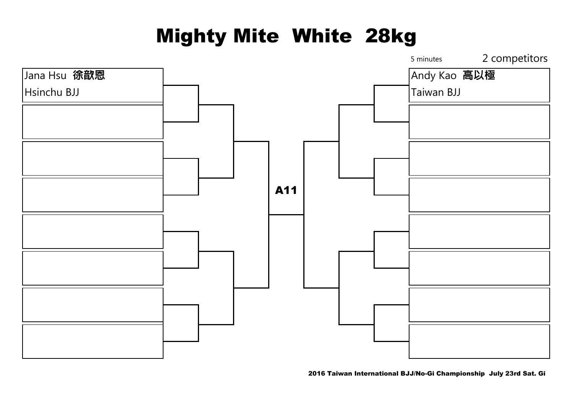## Mighty Mite White 28kg

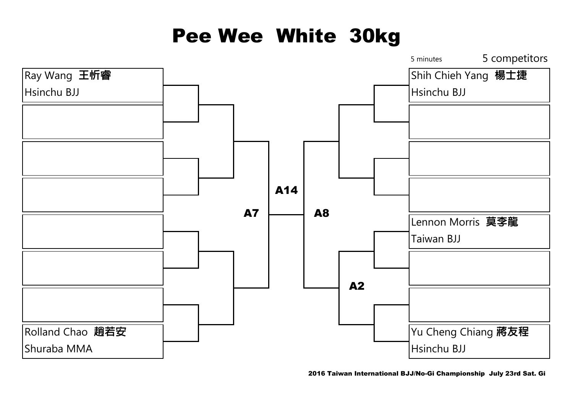#### Pee Wee White 30kg

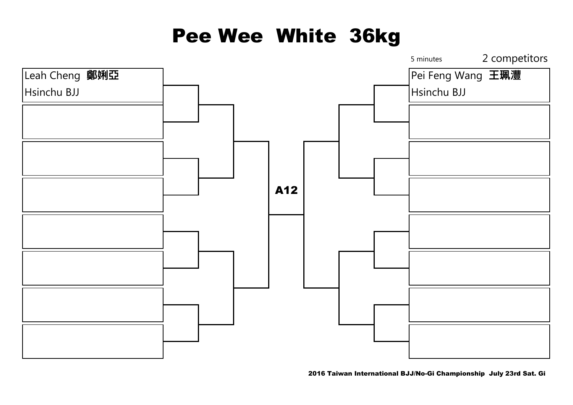#### Pee Wee White 36kg

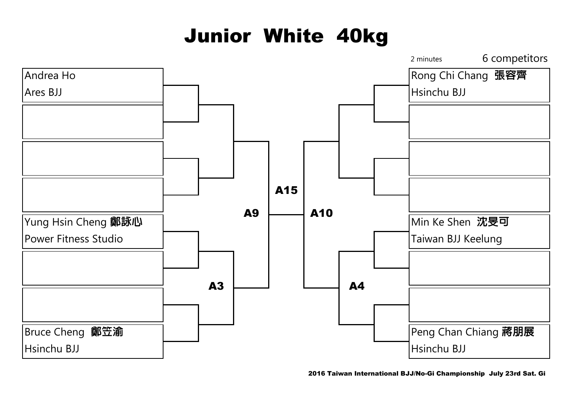# Junior White 40kg

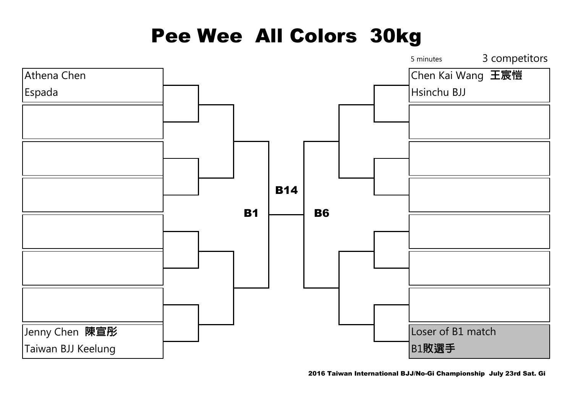## Pee Wee All Colors 30kg

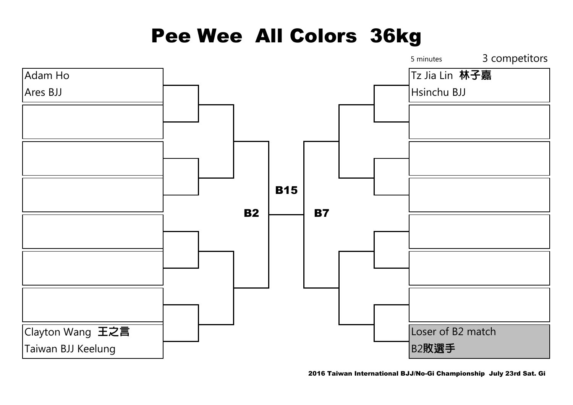### Pee Wee All Colors 36kg

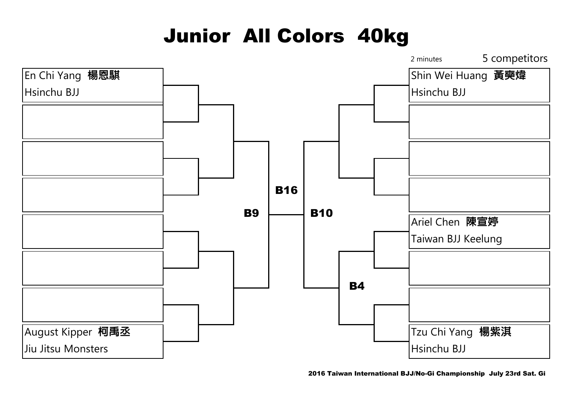# Junior All Colors 40kg



2016 Taiwan International BJJ/No-Gi Championship July 23rd Sat. Gi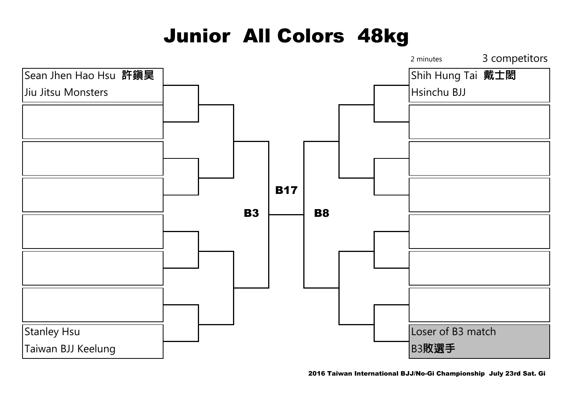# Junior All Colors 48kg

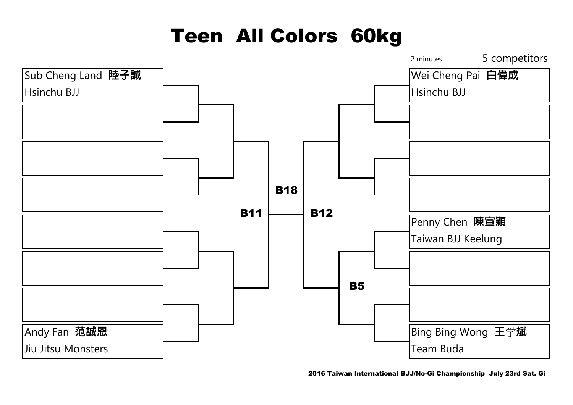# Teen All Colors 60kg